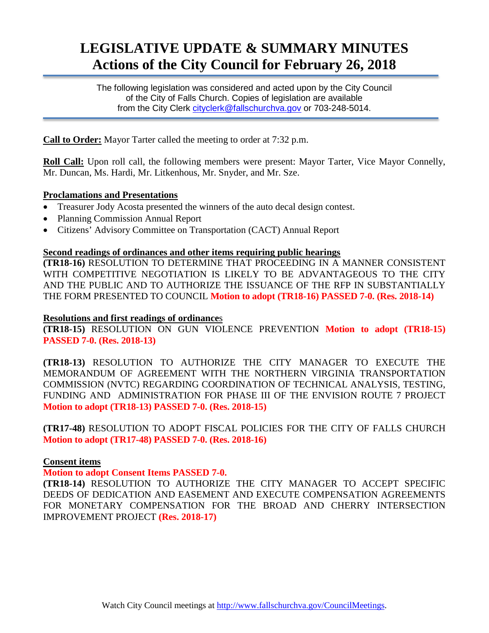# **LEGISLATIVE UPDATE & SUMMARY MINUTES Actions of the City Council for February 26, 2018**

The following legislation was considered and acted upon by the City Council of the City of Falls Church. Copies of legislation are available from the City Clerk cityclerk@fallschurchya.gov or 703-248-5014.

**Call to Order:** Mayor Tarter called the meeting to order at 7:32 p.m.

**Roll Call:** Upon roll call, the following members were present: Mayor Tarter, Vice Mayor Connelly, Mr. Duncan, Ms. Hardi, Mr. Litkenhous, Mr. Snyder, and Mr. Sze.

# **Proclamations and Presentations**

- Treasurer Jody Acosta presented the winners of the auto decal design contest.
- Planning Commission Annual Report
- Citizens' Advisory Committee on Transportation (CACT) Annual Report

#### **Second readings of ordinances and other items requiring public hearings**

**(TR18-16)** RESOLUTION TO DETERMINE THAT PROCEEDING IN A MANNER CONSISTENT WITH COMPETITIVE NEGOTIATION IS LIKELY TO BE ADVANTAGEOUS TO THE CITY AND THE PUBLIC AND TO AUTHORIZE THE ISSUANCE OF THE RFP IN SUBSTANTIALLY THE FORM PRESENTED TO COUNCIL **Motion to adopt (TR18-16) PASSED 7-0. (Res. 2018-14)**

#### **Resolutions and first readings of ordinance**s

**(TR18-15)** RESOLUTION ON GUN VIOLENCE PREVENTION **Motion to adopt (TR18-15) PASSED 7-0. (Res. 2018-13)**

**(TR18-13)** RESOLUTION TO AUTHORIZE THE CITY MANAGER TO EXECUTE THE MEMORANDUM OF AGREEMENT WITH THE NORTHERN VIRGINIA TRANSPORTATION COMMISSION (NVTC) REGARDING COORDINATION OF TECHNICAL ANALYSIS, TESTING, FUNDING AND ADMINISTRATION FOR PHASE III OF THE ENVISION ROUTE 7 PROJECT **Motion to adopt (TR18-13) PASSED 7-0. (Res. 2018-15)**

**(TR17-48)** RESOLUTION TO ADOPT FISCAL POLICIES FOR THE CITY OF FALLS CHURCH **Motion to adopt (TR17-48) PASSED 7-0. (Res. 2018-16)**

#### **Consent items**

# **Motion to adopt Consent Items PASSED 7-0.**

**(TR18-14)** RESOLUTION TO AUTHORIZE THE CITY MANAGER TO ACCEPT SPECIFIC DEEDS OF DEDICATION AND EASEMENT AND EXECUTE COMPENSATION AGREEMENTS FOR MONETARY COMPENSATION FOR THE BROAD AND CHERRY INTERSECTION IMPROVEMENT PROJECT **(Res. 2018-17)**